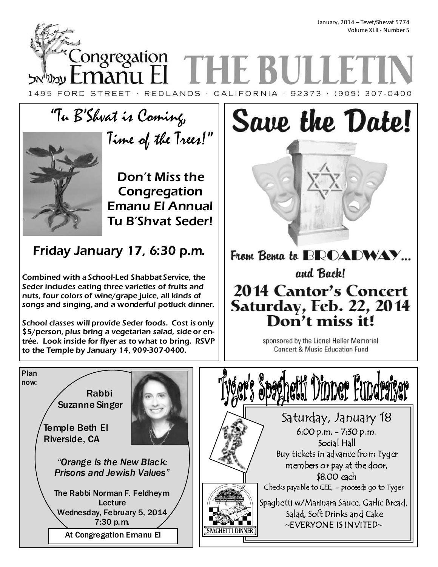January, 2014 – Tevet/Shevat 5774 Volume XLII - Number 5

Congregation **THE BU** manu El עמניאל 1495 FORD STREET · REDLANDS · CALIFORNIA · 92373 · (909) 307-0400

# "Tu B'Shvat is Coming, Time of the Trees!"



Don't Miss the Congregation Emanu El Annual Tu B'Shvat Seder!

Friday January 17, 6:30 p.m.

Combined with a School-Led Shabbat Service, the Seder includes eating three varieties of fruits and nuts, four colors of wine/grape juice, all kinds of songs and singing, and a wonderful potluck dinner.

School classes will provide Seder foods. Cost is only \$5/person, plus bring a vegetarian salad, side or entrée. Look inside for flyer as to what to bring. RSVP to the Temple by January 14, 909-307-0400.

# From Bema to BROADWAY... and Back! **2014 Cantor's Concert** Saturday, Feb. 22, 2014 Don't miss it!

Save the Date!

sponsored by the Lionel Heller Memorial **Concert & Music Education Fund** 

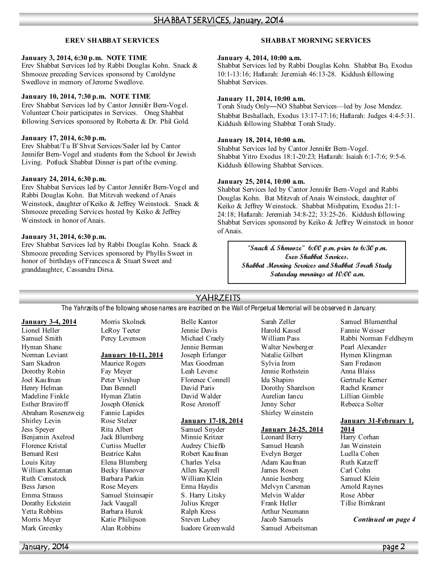# **EREV SHABBAT SERVICES**

## **January 3, 2014, 6:30 p.m. %OTE TIME**

Erev Shabbat Services led by Rabbi Douglas Kohn. Snack & Shmooze preceding Services sponsored by Caroldyne Swedlove in memory of Jerome Swedlove.

# **January 10, 2014, 7:30 p.m. %OTE TIME**

Erev Shabbat Services led by Cantor Jennifer Bern-Vogel. Volunteer Choir participates in Services. Oneg Shabbat following Services sponsored by Roberta & Dr. Phil Gold.

## **January 17, 2014, 6:30 p.m.**

Erev Shabbat/Tu B'Shvat Services/Seder led by Cantor Jennifer Bern-Vogel and students from the School for Jewish Living. Potluck Shabbat Dinner is part of the evening.

## **January 24, 2014, 6:30 p.m.**

Erev Shabbat Services led by Cantor Jennifer Bern-Vogel and Rabbi Douglas Kohn. Bat Mitzvah weekend of Anais Weinstock, daughter of Keiko & Jeffrey Weinstock. Snack & Shmooze preceding Services hosted by Keiko & Jeffrey Weinstock in honor of Anais.

# **January 31, 2014, 6:30 p.m.**

Erev Shabbat Services led by Rabbi Douglas Kohn. Snack & Shmooze preceding Services sponsored by Phyllis Sweet in honor of birthdays of Francesca & Stuart Sweet and granddaughter, Cassandra Dirsa.

# **SHABBAT MORNING SERVICES**

### **January 4, 2014, 10:00 a.m.**

Shabbat Services led by Rabbi Douglas Kohn. Shabbat Bo, Exodus 10:1-13:16; Haftarah: Jeremiah 46:13-28. Kiddush following Shabbat Services.

## **January 11, 2014, 10:00 a.m.**

Torah Study Only—NO Shabbat Services—led by Jose Mendez. Shabbat Beshallach, Exodus 13:17-17:16; Haftarah: Judges 4:4-5:31. Kiddush following Shabbat Torah Study.

### **January 18, 2014, 10:00 a.m.**

Shabbat Services led by Cantor Jennifer Bern-Vogel. Shabbat Yitro Exodus 18:1-20:23; Haftarah: Isaiah 6:1-7:6; 9:5-6. Kiddush following Shabbat Services.

# **January 25, 2014, 10:00 a.m.**

Shabbat Services led by Cantor Jennifer Bern-Vogel and Rabbi Douglas Kohn. Bat Mitzvah of Anais Weinstock, daughter of Keiko & Jeffrey Weinstock. Shabbat Mishpatim, Exodus 21:1- 24:18; Haftarah: Jeremiah 34:8-22; 33:25-26. Kiddush following Shabbat Services sponsored by Keiko & Jeffrey Weinstock in honor of Anais.

> **"Snack & Shmooze" 6:00 p.m. prior to 6:30 p.m. Erev Shabbat Services. Shabbat Morning Services and Shabbat Torah Study Saturday mornings at 10:00 a.m.**

# YAHRZEITS

The Yahrzeits of the following whose names are inscribed on the Wall of Perpetual Memorial will be observed in January:

# **January 3-4, 2014**

Lionel Heller Samuel Smith Hyman Shane Norman Leviant Sam Skadron Dorothy Robin Joel Kaufman Henry Helman Madeline Finkle Esther Braviroff Abraham Rosenzweig Shirley Levin Jess Speyer Benjamin Axelrod Florence Kristal Bernard Rest Louis Kitay William Katzman Ruth Comstock Bess Jarson Emma Strauss Dorathy Eckstein Yetta Robbins Morris Meyer Mark Greenky

Morris Skolnek LeRoy Teeter Percy Levenson

# **January 10-11, 2014**

Maurice Rogers Fay Meyer Peter Virshup Dan Bennell Hyman Zlatin Joseph Olenick Fannie Lapides Rose Stelzer Rita Albert Jack Blumberg Curtiss Mueller Beatrice Kahn Elena Blumberg Becky Hanover Barbara Parkin Rose Meyers Samuel Steinsapir Jack Vaugall Barbara Hurok Katie Philipson Alan Robbins

Belle Kantor Jennie Davis Michael Craely Jennie Berman Joseph Erlanger Max Goodman Leah Levene Florence Connell David Paris David Walder Rose Aronoff

# **January 17-18, 2014**

Samuel Snyder Minnie Kritzer Audrey Chieffo Robert Kaufman Charles Yelsa Allen Kayrell William Klein Erma Haydis S. Harry Litsky Julius Kreger Ralph Kress Steven Lubey Isadore Greenwald

Sarah Zeller Harold Kassel William Pass Walter Newberger Natalie Gilbert Sylvia Irom Jennie Rothstein Ida Shapiro Dorothy Sharelson Aurelian Iancu Jenny Scher Shirley Weinstein

# **January 24-25, 2014**

Leonard Berry Samuel Hearsh Evelyn Berger Adam Kaufman James Rosen Annie Isenberg Melvyn Carsman Melvin Walder Frank Heller Arthur Neumann Jacob Samuels Samuel Arbeitsman Samuel Blumenthal Fannie Weisser Rabbi Norman Feldheym Pearl Alexander Hymen Klingman Sam Fredason Anna Blaiss Gertrude Kerner Rachel Kramer Lillian Gimble Rebecca Solter

### **January 31-February 1, 2014**

Harry Corhan Jan Weinstein Luella Cohen Ruth Katzeff Carl Cohn Samuel Klein Arnold Raynes Rose Abber Tillie Birnkrant

*Continued on page 4*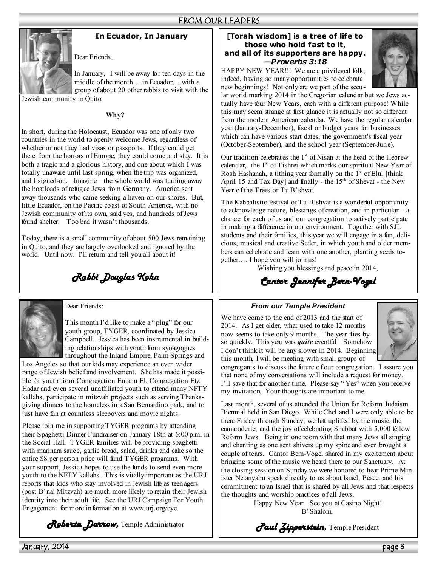

# **In Ecuador, In January**

In January, I will be away for ten days in the middle of the month… in Ecuador… with a group of about 20 other rabbis to visit with the Jewish community in Quito.

**Why?** 

Dear Friends,

In short, during the Holocaust, Ecuador was one of only two countries in the world to openly welcome Jews, regardless of whether or not they had visas or passports. If they could get there from the horrors of Europe, they could come and stay. It is both a tragic and a glorious history, and one about which I was totally unaware until last spring, when the trip was organized, and I signed-on. Imagine—the whole world was turning away the boatloads of refugee Jews from Germany. America sent away thousands who came seeking a haven on our shores. But, little Ecuador, on the Pacific coast of South America, with no Jewish community of its own, said yes, and hundreds of Jews found shelter. Too bad it wasn't thousands.

Today, there is a small community of about 500 Jews remaining in Quito, and they are largely overlooked and ignored by the world. Until now. I'll return and tell you all about it!

*Rabbi Douglas Kohn* 



Dear Friends:

This month I'd like to make a " plug" for our youth group, TYGER, coordinated by Jessica Campbell. Jessica has been instrumental in building relationships with youth from synagogues throughout the Inland Empire, Palm Springs and

Los Angeles so that our kids may experience an even wider range of Jewish belief and involvement. She has made it possible for youth from Congregation Emanu El, Congregation Etz Hadar and even several unaffiliated youth to attend many NFTY kallahs, participate in mitzvah projects such as serving Thanksgiving dinners to the homeless in a San Bernardino park, and to just have fun at countless sleepovers and movie nights.

Please join me in supporting TYGER programs by attending their Spaghetti Dinner Fundraiser on January 18th at 6:00 p.m. in the Social Hall. TYGER families will be providing spaghetti with marinara sauce, garlic bread, salad, drinks and cake so the entire \$8 per person price will fund TYGER programs. With your support, Jessica hopes to use the funds to send even more youth to the NFTY kallahs. This is vitally important as the URJ reports that kids who stay involved in Jewish life as teenagers (post B'nai Mitzvah) are much more likely to retain their Jewish identity into their adult life. See the URJ Campaign For Youth Engagement for more information at www.urj.org/cye.

*Roberta Darrow,* Temple Administrator

# **[Torah wisdom] is a tree of life to those who hold fast to it, and all of its supporters are happy.**  *—Proverbs 3:18*



HAPPY NEW YEAR!!! We are a privileged folk, indeed, having so many opportunities to celebrate new beginnings! Not only are we part of the secu-

lar world marking 2014 in the Gregorian calendar but we Jews actually have four New Years, each with a different purpose! While this may seem strange at first glance it is actually not so different from the modern American calendar. We have the regular calendar year (January-December), fiscal or budget years for businesses which can have various start dates, the government's fiscal year (October-September), and the school year (September-June).

Our tradition celebrates the  $1<sup>st</sup>$  of Nisan at the head of the Hebrew calendar, the  $1<sup>st</sup>$  of Tishrei which marks our spiritual New Year of Rosh Hashanah, a tithing year formally on the  $1<sup>st</sup>$  of Elul [think] April 15 and  $Tax$  Day] and finally - the 15<sup>th</sup> of Shevat - the New Year of the Trees or Tu B'shvat.

The Kabbalistic festival of Tu B'shvat is a wonderful opportunity to acknowledge nature, blessings of creation, and in particular – a chance for each of us and our congregation to actively participate in making a difference in our environment. Together with SJL students and their families, this year we will engage in a fun, delicious, musical and creative Seder, in which youth and older members can celebrate and learn with one another, planting seeds together…. I hope you will join us!

Wishing you blessings and peace in 2014,

*Cantor Jennifer Bern- Cantor Jennifer Bern-Vogel*

# *From our Temple President*

We have come to the end of 2013 and the start of 2014. As I get older, what used to take 12 months now seems to take only 9 months. The year flies by so quickly. This year was *quite* eventful! Somehow I don't think it will be any slower in 2014. Beginning this month, I will be meeting with small groups of



congregants to discuss the future of our congregation. I assure you that none of my conversations will include a request for money. I'll save that for another time. Please say " Yes" when you receive my invitation. Your thoughts are important to me.

Last month, several of us attended the Union for Reform Judaism Biennial held in San Diego. While Chel and I were only able to be there Friday through Sunday, we left uplifted by the music, the camaraderie, and the joy of celebrating Shabbat with 5,000 fellow Reform Jews. Being in one room with that many Jews all singing and chanting as one sent shivers up my spine and even brought a couple of tears. Cantor Bern-Vogel shared in my excitement about bringing some of the music we heard there to our Sanctuary. At the closing session on Sunday we were honored to hear Prime Minister Netanyahu speak directly to us about Israel, Peace, and his commitment to an Israel that is shared by all Jews and that respects the thoughts and worship practices of all Jews.

Happy New Year. See you at Casino Night! B'Shalom,

*Paul Zipperstein,* Temple President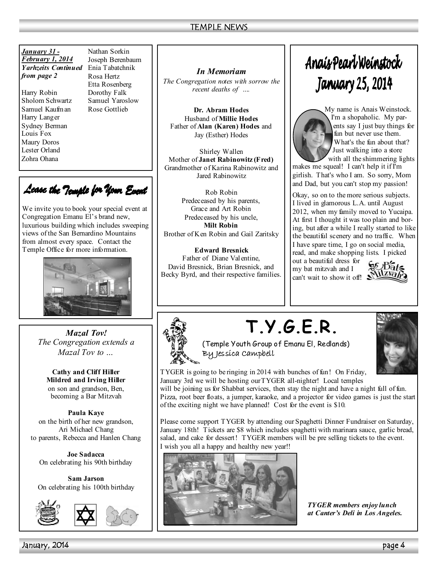| January 31 -               | Nathan Sorkin    |
|----------------------------|------------------|
| February 1, 2014           | Joseph Berenbaur |
| <i>Yarhzeits Continued</i> | Enia Tabatchnik  |
| from page 2                | Rosa Hertz       |

Harry Robin Sholom Schwartz Samuel Kaufman Harry Langer Sydney Berman Louis Fox Maury Doros Lester Orland Zohra Ohana

Nathan Sorkin Joseph Berenbaum Rosa Hertz Etta Rosenberg Dorothy Falk Samuel Yaroslow Rose Gottlieb

Lease the Temple for Your Event

We invite you to book your special event at Congregation Emanu El's brand new, luxurious building which includes sweeping views of the San Bernardino Mountains from almost every space. Contact the Temple Office for more information.



*Mazal Tov! The Congregation extends a Mazal Tov to …* 

**Cathy and Cliff Hiller Mildred and Irving Hiller**  on son and grandson, Ben, becoming a Bar Mitzvah

**Paula Kaye**  on the birth of her new grandson, Ari Michael Chang to parents, Rebecca and Hanlen Chang

**Joe Sadacca**  On celebrating his 90th birthday

**Sam Jarson** On celebrating his 100th birthday



*In Memoriam* 

*The Congregation notes with sorrow the recent deaths of ….* 

**Dr. Abram Hodes**  Husband of **Millie Hodes** Father of **Alan (Karen) Hodes** and Jay (Esther) Hodes

Shirley Wallen Mother of **Janet Rabinowitz (Fred)**  Grandmother of Karina Rabinowitz and Jared Rabinowitz

Rob Robin Predeceased by his parents, Grace and Art Robin Predeceased by his uncle, **Milt Robin**  Brother of Ken Robin and Gail Zaritsky

**Edward Bresnick**  Father of Diane Valentine, David Bresnick, Brian Bresnick, and Becky Byrd, and their respective families.

# Anais Pearl Weinstock **January 25, 2014**



My name is Anais Weinstock. I'm a shopaholic. My parents say I just buy things for fun but never use them. What's the fun about that? Just walking into a store with all the shimmering lights

makes me squeal! I can't help it if I'm girlish. That's who I am. So sorry, Mom and Dad, but you can't stop my passion!

Okay, so on to the more serious subjects. I lived in glamorous L.A. until August 2012, when my family moved to Yucaipa. At first I thought it was too plain and boring, but after a while I really started to like the beautiful scenery and no traffic. When I have spare time, I go on social media,

read, and make shopping lists. I picked out a beautiful dress for

my bat mitzvah and I can't wait to show it off!





# **T.Y.G.E.R.**



(Temple Youth Group of Emanu El, Redlands) By Jessica Campbell

TYGER is going to be ringing in 2014 with bunches of fun! On Friday, January 3rd we will be hosting our TYGER all-nighter! Local temples

will be joining us for Shabbat services, then stay the night and have a night full of fun. Pizza, root beer floats, a jumper, karaoke, and a projector for video games is just the start of the exciting night we have planned! Cost for the event is \$10.

Please come support TYGER by attending our Spaghetti Dinner Fundraiser on Saturday, January 18th! Tickets are \$8 which includes spaghetti with marinara sauce, garlic bread, salad, and cake for dessert! TYGER members will be pre selling tickets to the event. I wish you all a happy and healthy new year!!



*TYGER members enjoy lunch at Canter's Deli in Los Angeles.*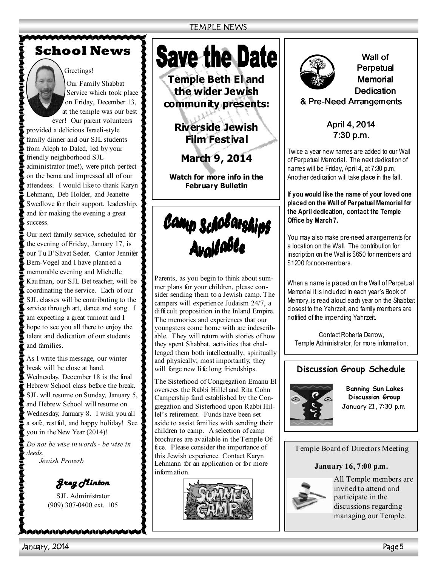# **School News**

# Greetings!

Our Family Shabbat Service which took place on Friday, December 13, at the temple was our best ever! Our parent volunteers

provided a delicious Israeli-style family dinner and our SJL students from Aleph to Daled, led by your friendly neighborhood SJL administrator (me!), were pitch perfect on the bema and impressed all of our attendees. I would like to thank Karyn Lehmann, Deb Holder, and Jeanette Swedlove for their support, leadership, and for making the evening a great

success.

Our next family service, scheduled for the evening of Friday, January 17, is our Tu B'Shvat Seder. Cantor Jennifer Bern-Vogel and I have planned a memorable evening and Michelle Kaufman, our SJL Bet teacher, will be coordinating the service. Each of our SJL classes will be contributing to the service through art, dance and song. I am expecting a great turnout and I hope to see you all there to enjoy the talent and dedication of our students and families.

As I write this message, our winter break will be close at hand. Wednesday, December 18 is the final Hebrew School class before the break. SJL will resume on Sunday, January 5, and Hebrew School will resume on Wednesday, January 8. I wish you all a safe, restful, and happy holiday! See you in the New Year (2014)!

*Do not be wise in words - be wise in deeds.* 

*Jewish Proverb* 

*Greg Minton Greg Minton* 

SJL Administrator (909) 307-0400 ext. 105

NAAAAAAAAAAAAA

# **Save the Date**

**Temple Beth El and the wider Jewish community presents:** 

> **Riverside Jewish Film Festival**

**March 9, 2014** 

**Watch for more info in the February Bulletin** 

Camp Scholarships<br>Available

Parents, as you begin to think about summer plans for your children, please consider sending them to a Jewish camp. The campers will experience Judaism 24/7, a difficult proposition in the Inland Empire. The memories and experiences that our youngsters come home with are indescribable. They will return with stories of how they spent Shabbat, activities that challenged them both intellectually, spiritually and physically; most importantly, they will forge new life long friendships.

The Sisterhood of Congregation Emanu El oversees the Rabbi Hillel and Rita Cohn Campership fund established by the Congregation and Sisterhood upon Rabbi Hillel's retirement. Funds have been set aside to assist families with sending their children to camp. A selection of camp brochures are available in the Temple Office. Please consider the importance of this Jewish experience. Contact Karyn Lehmann for an application or for more information.





Wall of Perpetual **Memorial** Dedication & Pre-Need Arrangements

April 4, 2014  $7:30 p.m.$ 

Twice a year new names are added to our Wall of Perpetual Memorial. The next dedication of names will be Friday, April 4, at 7:30 p.m. Another dedication will take place in the fall.

**If you would like the name of your loved one placed on the Wall of Perpetual Memorial for the April dedication, contact the Temple Office by March 7.** 

You may also make pre-need arrangements for a location on the Wall. The contribution for inscription on the Wall is \$650 for members and \$1200 for non-members.

When a name is placed on the Wall of Perpetual Memorial it is included in each year's Book of Memory, is read aloud each year on the Shabbat closest to the Yahrzeit, and family members are notified of the impending Yahrzeit.

Contact Roberta Darrow, Temple Administrator, for more information.

# **Discussion Group Schedule**



**Banning Sun Lakes Discussion Group**  January 21, 7:30 p.m.

Temple Board of Directors Meeting

# **January 16, 7:00 p.m.**



All Temple members are invited to attend and participate in the discussions regarding managing our Temple.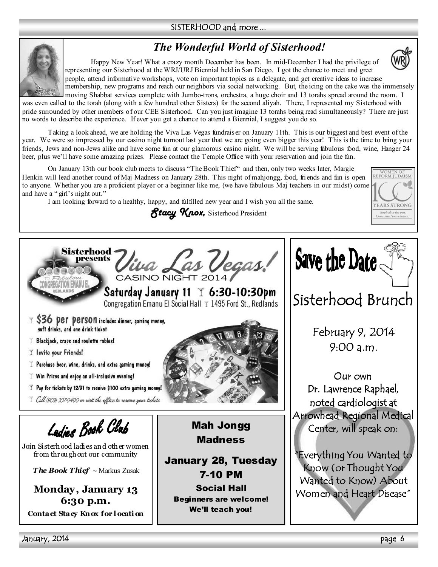# SISTERHOOD and more ...

# *The Wonderful World of Sisterhood!*



 Happy New Year! What a crazy month December has been. In mid-December I had the privilege of representing our Sisterhood at the WRJ/URJ Biennial held in San Diego. I got the chance to meet and greet people, attend informative workshops, vote on important topics as a delegate, and get creative ideas to increase membership, new programs and reach our neighbors via social networking. But, the icing on the cake was the immensely

WOMEN OF<br>REFORM JUDAISM

**YEARS STRONG** Inspired by the past.<br>Committed to the future

moving Shabbat services complete with Jumbo-trons, orchestra, a huge choir and 13 torahs spread around the room. I was even called to the torah (along with a few hundred other Sisters) for the second aliyah. There, I represented my Sisterhood with pride surrounded by other members of our CEE Sisterhood. Can you just imagine 13 torahs being read simultaneously? There are just no words to describe the experience. If ever you get a chance to attend a Biennial, I suggest you do so.

Taking a look ahead, we are holding the Viva Las Vegas fundraiser on January 11th. This is our biggest and best event of the year. We were so impressed by our casino night turnout last year that we are going even bigger this year! This is the time to bring your friends, Jews and non-Jews alike and have some fun at our glamorous casino night. We will be serving fabulous food, wine, Hanger 24 beer, plus we'll have some amazing prizes. Please contact the Temple Office with your reservation and join the fun.

On January 13th our book club meets to discuss "The Book Thief" and then, only two weeks later, Margie Henkin will lead another round of Maj Madness on January 28th. This night of mahjongg, food, friends and fun is open to anyone. Whether you are a proficient player or a beginner like me, (we have fabulous Maj teachers in our midst) come and have a " girl's night out."

I am looking forward to a healthy, happy, and fulfilled new year and I wish you all the same.

*Stacy Knox,* Sisterhood President

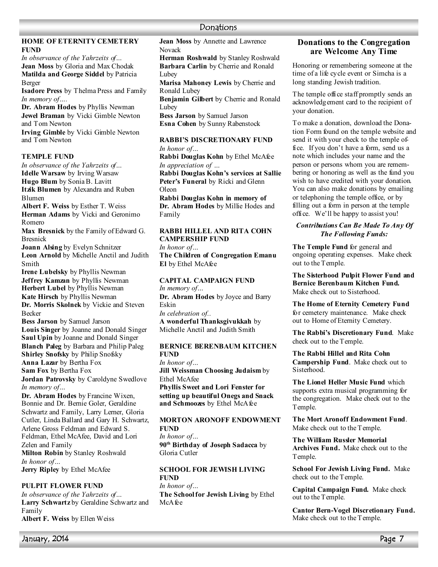# **HOME OF ETERNITY CEMETERY FU%D**

*In observance of the Yahrzeits of…*  **Jean Moss** by Gloria and Max Chodak **Matilda and George Siddel** by Patricia Berger

**Isadore Press** by Thelma Press and Family *In memory of….* 

**Dr. Abram Hodes** by Phyllis Newman **Jewel Braman** by Vicki Gimble Newton and Tom Newton

**Irving Gimble** by Vicki Gimble Newton and Tom Newton

# **TEMPLE FUND**

*In observance of the Yahrzeits of…*  **Idelle Warsaw** by Irving Warsaw **Hugo Blum** by Sonia B. Lavitt **Itzik Blumen** by Alexandra and Ruben

Blumen

**Albert F. Weiss** by Esther T. Weiss **Herman Adams** by Vicki and Geronimo Romero

**Max Bresnick** by the Family of Edward G. Bresnick

**Joann Alsing** by Evelyn Schnitzer **Leon Arnold** by Michelle Anctil and Judith Smith

**Irene Lubelsky** by Phyllis Newman **Jeffrey Kamzan** by Phyllis Newman **Herbert Lubel** by Phyllis Newman **Kate Hirsch** by Phyllis Newman **Dr. Morris Skolnek** by Vickie and Steven Becker

**Bess Jarson** by Samuel Jarson **Louis Singer** by Joanne and Donald Singer **Saul Upin** by Joanne and Donald Singer **Blanch Paleg** by Barbara and Philip Paleg **Shirley Snofsky** by Philip Snofsky **Anna Lazar** by Bertha Fox **Sam Fox** by Bertha Fox **Jordan Patrovsky** by Caroldyne Swedlove

*In memory of…*  **Dr. Abram Hodes** by Francine Wixen, Bonnie and Dr. Bernie Goler, Geraldine Schwartz and Family, Larry Lerner, Gloria Cutler, Linda Ballard and Gary H. Schwartz, Arlene Gross Feldman and Edward S. Feldman, Ethel McAfee, David and Lori Zelen and Family **Milton Robin** by Stanley Roshwald *In honor of…*  **Jerry Ripley** by Ethel McAfee

# **PULPIT FLOWER FUND**

*In observance of the Yahrzeits of…* **Larry Schwartz** by Geraldine Schwartz and Family **Albert F. Weiss** by Ellen Weiss

**Jean Moss** by Annette and Lawrence Novack

**Herman Roshwald** by Stanley Roshwald **Barbara Carlin** by Cherrie and Ronald Lubey

**Marisa Mahoney Lewis** by Cherrie and Ronald Lubey

**Benjamin Gilbert** by Cherrie and Ronald Lubey

**Bess Jarson** by Samuel Jarson **Esna Cohen** by Sunny Rabenstock

### **RABBI'S DISCRETIONARY FUND** *In honor of…*

**Rabbi Douglas Kohn** by Ethel McAfee *In appreciation of …*  **Rabbi Douglas Kohn's services at Sallie Peter's Funeral** by Ricki and Glenn Oleon

**Rabbi Douglas Kohn in memory of Dr. Abram Hodes** by Millie Hodes and Family

# **RABBI HILLEL AND RITA COHN CAMPERSHIP FUND**

*In honor of…*  **The Children of Congregation Emanu El** by Ethel McAfee

**CAPITAL CAMPAIGN FUND** *In memory of…*  **Dr. Abram Hodes** by Joyce and Barry Eskin *In celebration of..*  **A wonderful Thanksgivukkah** by

Michelle Anctil and Judith Smith

## **BERNICE BERENBAUM KITCHEN FU%D**

*In honor of…*  **Jill Weissman Choosing Judaism** by Ethel McAfee **Phyllis Sweet and Lori Fenster for setting up beautiful Onegs and Snack and Schmoozes** by Ethel McAfee

### **MORTON ARONOFF ENDOWMENT FU%D**

*In honor of…*  **90th Birthday of Joseph Sadacca** by Gloria Cutler

**SCHOOL FOR JEWISH LIVING FU%D**  *In honor of…*  **The School for Jewish Living** by Ethel McAfee

# **Donations to the Congregation are Welcome Any Time**

Honoring or remembering someone at the time of a life cycle event or Simcha is a long standing Jewish tradition.

The temple office staff promptly sends an acknowledgement card to the recipient of your donation.

To make a donation, download the Donation Form found on the temple website and send it with your check to the temple office. If you don't have a form, send us a note which includes your name and the person or persons whom you are remembering or honoring as well as the fund you wish to have credited with your donation. You can also make donations by emailing or telephoning the temple office, or by filling out a form in person at the temple office. We'll be happy to assist you!

# *Contributions Can Be Made To Any Of The Following Funds:*

**The Temple Fund** for general and ongoing operating expenses. Make check out to the Temple.

**The Sisterhood Pulpit Flower Fund and Bernice Berenbaum Kitchen Fund.**  Make check out to Sisterhood.

**The Home of Eternity Cemetery Fund**  for cemetery maintenance. Make check out to Home of Eternity Cemetery.

**The Rabbi's Discretionary Fund**. Make check out to the Temple.

**The Rabbi Hillel and Rita Cohn Campership Fund**. Make check out to Sisterhood.

**The Lionel Heller Music Fund** which supports extra musical programming for the congregation. Make check out to the Temple.

**The Mort Aronoff Endowment Fund**. Make check out to the Temple.

**The William Russler Memorial Archives Fund.** Make check out to the Temple.

**School For Jewish Living Fund.** Make check out to the Temple.

**Capital Campaign Fund.** Make check out to the Temple.

**Cantor Bern-Vogel Discretionary Fund.**  Make check out to the Temple.